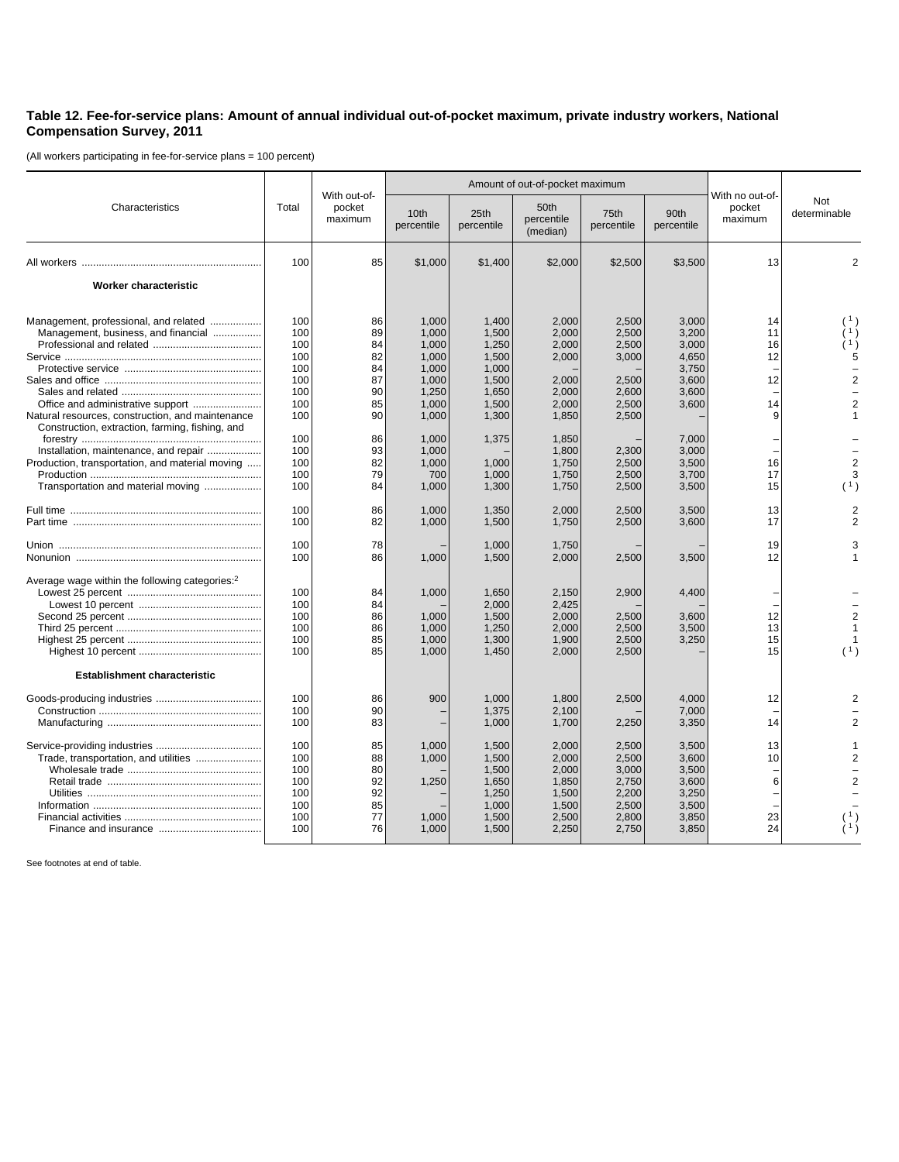## **Table 12. Fee-for-service plans: Amount of annual individual out-of-pocket maximum, private industry workers, National Compensation Survey, 2011**

(All workers participating in fee-for-service plans = 100 percent)

|                                                                                                                                                                                                                                                                                 | Total                                                                            | With out-of-<br>pocket<br>maximum                                    |                                                                                                          | Amount of out-of-pocket maximum                                                                 |                                                                                                 |                                                                                        |                                                                                                 |                                                                                                     |                                                     |
|---------------------------------------------------------------------------------------------------------------------------------------------------------------------------------------------------------------------------------------------------------------------------------|----------------------------------------------------------------------------------|----------------------------------------------------------------------|----------------------------------------------------------------------------------------------------------|-------------------------------------------------------------------------------------------------|-------------------------------------------------------------------------------------------------|----------------------------------------------------------------------------------------|-------------------------------------------------------------------------------------------------|-----------------------------------------------------------------------------------------------------|-----------------------------------------------------|
| Characteristics                                                                                                                                                                                                                                                                 |                                                                                  |                                                                      | 10th<br>percentile                                                                                       | 25th<br>percentile                                                                              | 50th<br>percentile<br>(median)                                                                  | 75th<br>percentile                                                                     | 90th<br>percentile                                                                              | With no out-of-<br>pocket<br>maximum                                                                | Not<br>determinable                                 |
|                                                                                                                                                                                                                                                                                 | 100                                                                              | 85                                                                   | \$1,000                                                                                                  | \$1,400                                                                                         | \$2,000                                                                                         | \$2,500                                                                                | \$3,500                                                                                         | 13                                                                                                  | $\overline{2}$                                      |
| Worker characteristic                                                                                                                                                                                                                                                           |                                                                                  |                                                                      |                                                                                                          |                                                                                                 |                                                                                                 |                                                                                        |                                                                                                 |                                                                                                     |                                                     |
| Management, professional, and related<br>Management, business, and financial<br>Natural resources, construction, and maintenance<br>Construction, extraction, farming, fishing, and<br>Installation, maintenance, and repair<br>Production, transportation, and material moving | 100<br>100<br>100<br>100<br>100<br>100<br>100<br>100<br>100<br>100<br>100<br>100 | 86<br>89<br>84<br>82<br>84<br>87<br>90<br>85<br>90<br>86<br>93<br>82 | 1,000<br>1,000<br>1,000<br>1,000<br>1,000<br>1,000<br>1,250<br>1,000<br>1,000<br>1,000<br>1,000<br>1.000 | 1,400<br>1,500<br>1,250<br>1,500<br>1,000<br>1,500<br>1,650<br>1,500<br>1,300<br>1,375<br>1.000 | 2,000<br>2,000<br>2,000<br>2,000<br>2,000<br>2,000<br>2,000<br>1,850<br>1,850<br>1,800<br>1.750 | 2,500<br>2,500<br>2,500<br>3,000<br>2,500<br>2,600<br>2,500<br>2,500<br>2,300<br>2.500 | 3,000<br>3,200<br>3,000<br>4,650<br>3,750<br>3,600<br>3,600<br>3,600<br>7,000<br>3,000<br>3.500 | 14<br>11<br>16<br>12<br>$\overline{\phantom{0}}$<br>12<br>14<br>9<br>$\overline{\phantom{a}}$<br>16 | (1)<br>(1)<br>5<br>$\overline{2}$<br>$\overline{2}$ |
| Transportation and material moving                                                                                                                                                                                                                                              | 100<br>100                                                                       | 79<br>84                                                             | 700<br>1,000                                                                                             | 1,000<br>1,300                                                                                  | 1,750<br>1,750                                                                                  | 2,500<br>2,500                                                                         | 3,700<br>3,500                                                                                  | 17<br>15                                                                                            | 3<br>(1)                                            |
|                                                                                                                                                                                                                                                                                 | 100<br>100                                                                       | 86<br>82                                                             | 1,000<br>1,000                                                                                           | 1,350<br>1,500                                                                                  | 2,000<br>1,750                                                                                  | 2,500<br>2,500                                                                         | 3,500<br>3,600                                                                                  | 13<br>17                                                                                            | $\overline{2}$                                      |
|                                                                                                                                                                                                                                                                                 | 100<br>100                                                                       | 78<br>86                                                             | 1,000                                                                                                    | 1,000<br>1,500                                                                                  | 1,750<br>2,000                                                                                  | 2,500                                                                                  | 3,500                                                                                           | 19<br>12                                                                                            | 3                                                   |
| Average wage within the following categories: <sup>2</sup>                                                                                                                                                                                                                      | 100<br>100<br>100<br>100<br>100<br>100                                           | 84<br>84<br>86<br>86<br>85<br>85                                     | 1,000<br>1,000<br>1,000<br>1,000<br>1,000                                                                | 1,650<br>2,000<br>1,500<br>1,250<br>1,300<br>1,450                                              | 2,150<br>2,425<br>2,000<br>2,000<br>1,900<br>2,000                                              | 2,900<br>2,500<br>2,500<br>2,500<br>2,500                                              | 4,400<br>3,600<br>3,500<br>3,250                                                                | 12<br>13<br>15<br>15                                                                                | $\overline{2}$<br>(1)                               |
| <b>Establishment characteristic</b>                                                                                                                                                                                                                                             |                                                                                  |                                                                      |                                                                                                          |                                                                                                 |                                                                                                 |                                                                                        |                                                                                                 |                                                                                                     |                                                     |
|                                                                                                                                                                                                                                                                                 | 100<br>100<br>100                                                                | 86<br>90<br>83                                                       | 900                                                                                                      | 1,000<br>1,375<br>1,000                                                                         | 1,800<br>2,100<br>1,700                                                                         | 2,500<br>2,250                                                                         | 4,000<br>7,000<br>3,350                                                                         | 12<br>14                                                                                            |                                                     |
| Trade, transportation, and utilities                                                                                                                                                                                                                                            | 100<br>100<br>100<br>100<br>100<br>100<br>100<br>100                             | 85<br>88<br>80<br>92<br>92<br>85<br>77<br>76                         | 1,000<br>1,000<br>1,250<br>1,000<br>1,000                                                                | 1,500<br>1,500<br>1,500<br>1,650<br>1,250<br>1,000<br>1,500<br>1,500                            | 2,000<br>2,000<br>2,000<br>1,850<br>1,500<br>1,500<br>2,500<br>2,250                            | 2,500<br>2.500<br>3,000<br>2,750<br>2.200<br>2,500<br>2,800<br>2,750                   | 3,500<br>3.600<br>3,500<br>3,600<br>3.250<br>3,500<br>3,850<br>3,850                            | 13<br>10<br>$\overline{\phantom{a}}$<br>6<br>23<br>24                                               | $\mathcal{P}$<br>$\overline{2}$                     |

See footnotes at end of table.